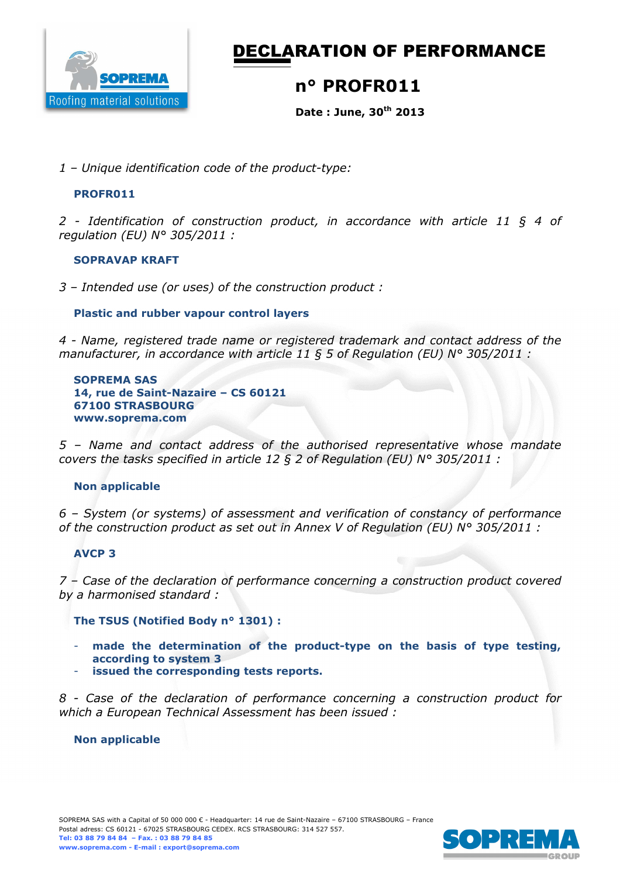

DECLARATION OF PERFORMANCE

## **n° PROFR011**

**Date : June, 30th 2013** 

*1 – Unique identification code of the product-type:*

## **PROFR011**

*2 - Identification of construction product, in accordance with article 11 § 4 of regulation (EU) N° 305/2011 :* 

#### **SOPRAVAP KRAFT**

*3 – Intended use (or uses) of the construction product :* 

## **Plastic and rubber vapour control layers**

*4 - Name, registered trade name or registered trademark and contact address of the manufacturer, in accordance with article 11 § 5 of Regulation (EU) N° 305/2011 :* 

**SOPREMA SAS 14, rue de Saint-Nazaire – CS 60121 67100 STRASBOURG www.soprema.com** 

*5 – Name and contact address of the authorised representative whose mandate covers the tasks specified in article 12 § 2 of Regulation (EU) N° 305/2011 :* 

#### **Non applicable**

*6 – System (or systems) of assessment and verification of constancy of performance of the construction product as set out in Annex V of Regulation (EU) N° 305/2011 :* 

#### **AVCP 3**

*7 – Case of the declaration of performance concerning a construction product covered by a harmonised standard :* 

**The TSUS (Notified Body n° 1301) :** 

- made the determination of the product-type on the basis of type testing, **according to system 3**
- **issued the corresponding tests reports.**

*8 - Case of the declaration of performance concerning a construction product for which a European Technical Assessment has been issued :* 

#### **Non applicable**